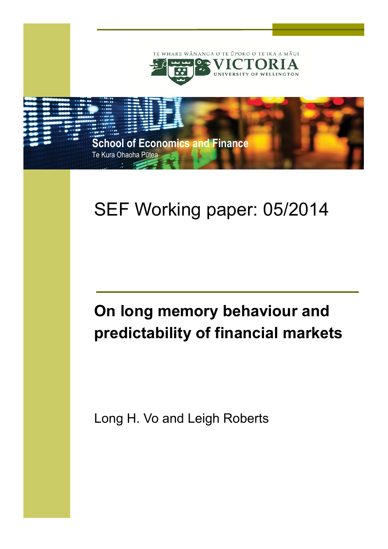

# SEF Working paper: 05/2014

## **On long memory behaviour and predictability of financial markets**

Long H. Vo and Leigh Roberts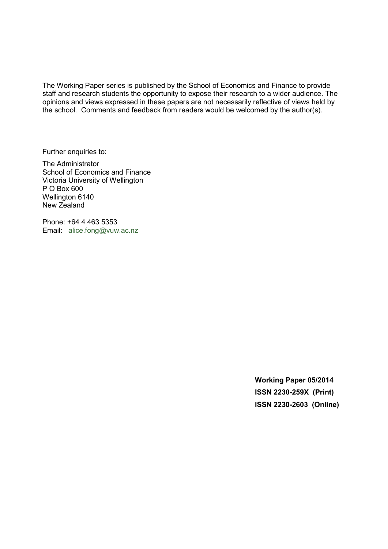The Working Paper series is published by the School of Economics and Finance to provide staff and research students the opportunity to expose their research to a wider audience. The opinions and views expressed in these papers are not necessarily reflective of views held by the school. Comments and feedback from readers would be welcomed by the author(s).

Further enquiries to:

The Administrator School of Economics and Finance Victoria University of Wellington P O Box 600 Wellington 6140 New Zealand

Phone: +64 4 463 5353 Email: [alice.fong@vuw.ac.nz](mailto:alice.fong@vuw.ac.nz)

> **Working Paper 05/2014 ISSN 2230-259X (Print) ISSN 2230-2603 (Online)**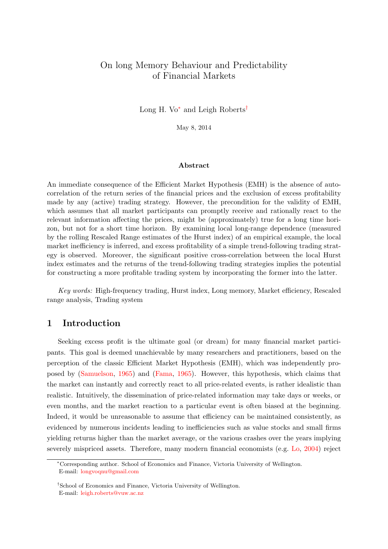## On long Memory Behaviour and Predictability of Financial Markets

Long H. Vo<sup>∗</sup> and Leigh Roberts†

May 8, 2014

#### Abstract

An immediate consequence of the Efficient Market Hypothesis (EMH) is the absence of autocorrelation of the return series of the financial prices and the exclusion of excess profitability made by any (active) trading strategy. However, the precondition for the validity of EMH, which assumes that all market participants can promptly receive and rationally react to the relevant information affecting the prices, might be (approximately) true for a long time horizon, but not for a short time horizon. By examining local long-range dependence (measured by the rolling Rescaled Range estimates of the Hurst index) of an empirical example, the local market inefficiency is inferred, and excess profitability of a simple trend-following trading strategy is observed. Moreover, the significant positive cross-correlation between the local Hurst index estimates and the returns of the trend-following trading strategies implies the potential for constructing a more profitable trading system by incorporating the former into the latter.

Key words: High-frequency trading, Hurst index, Long memory, Market efficiency, Rescaled range analysis, Trading system

### 1 Introduction

Seeking excess profit is the ultimate goal (or dream) for many financial market participants. This goal is deemed unachievable by many researchers and practitioners, based on the perception of the classic Efficient Market Hypothesis (EMH), which was independently proposed by [\(Samuelson,](#page-32-0) [1965\)](#page-32-0) and [\(Fama,](#page-30-0) [1965\)](#page-30-0). However, this hypothesis, which claims that the market can instantly and correctly react to all price-related events, is rather idealistic than realistic. Intuitively, the dissemination of price-related information may take days or weeks, or even months, and the market reaction to a particular event is often biased at the beginning. Indeed, it would be unreasonable to assume that efficiency can be maintained consistently, as evidenced by numerous incidents leading to inefficiencies such as value stocks and small firms yielding returns higher than the market average, or the various crashes over the years implying severely mispriced assets. Therefore, many modern financial economists (e.g. [Lo,](#page-31-0) [2004\)](#page-31-0) reject

<sup>∗</sup>Corresponding author. School of Economics and Finance, Victoria University of Wellington. E-mail: [longvoqnu@gmail.com](mailto:longvoqnu@gmail.com)

<sup>†</sup>School of Economics and Finance, Victoria University of Wellington. E-mail: [leigh.roberts@vuw.ac.nz](mailto:leigh.roberts@vuw.ac.nz)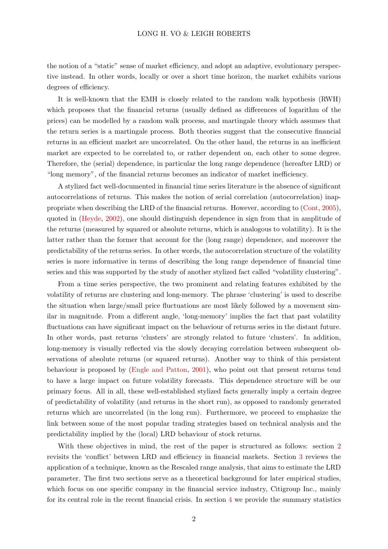the notion of a "static" sense of market efficiency, and adopt an adaptive, evolutionary perspective instead. In other words, locally or over a short time horizon, the market exhibits various degrees of efficiency.

It is well-known that the EMH is closely related to the random walk hypothesis (RWH) which proposes that the financial returns (usually defined as differences of logarithm of the prices) can be modelled by a random walk process, and martingale theory which assumes that the return series is a martingale process. Both theories suggest that the consecutive financial returns in an efficient market are uncorrelated. On the other hand, the returns in an inefficient market are expected to be correlated to, or rather dependent on, each other to some degree. Therefore, the (serial) dependence, in particular the long range dependence (hereafter LRD) or "long memory", of the financial returns becomes an indicator of market inefficiency.

A stylized fact well-documented in financial time series literature is the absence of significant autocorrelations of returns. This makes the notion of serial correlation (autocorrelation) inappropriate when describing the LRD of the financial returns. However, according to [\(Cont,](#page-30-1) [2005\)](#page-30-1), quoted in [\(Heyde,](#page-31-1) [2002\)](#page-31-1), one should distinguish dependence in sign from that in amplitude of the returns (measured by squared or absolute returns, which is analogous to volatility). It is the latter rather than the former that account for the (long range) dependence, and moreover the predictability of the returns series. In other words, the autocorrelation structure of the volatility series is more informative in terms of describing the long range dependence of financial time series and this was supported by the study of another stylized fact called "volatility clustering".

From a time series perspective, the two prominent and relating features exhibited by the volatility of returns are clustering and long-memory. The phrase 'clustering' is used to describe the situation when large/small price fluctuations are most likely followed by a movement similar in magnitude. From a different angle, 'long-memory' implies the fact that past volatility fluctuations can have significant impact on the behaviour of returns series in the distant future. In other words, past returns 'clusters' are strongly related to future 'clusters'. In addition, long-memory is visually reflected via the slowly decaying correlation between subsequent observations of absolute returns (or squared returns). Another way to think of this persistent behaviour is proposed by [\(Engle and Patton,](#page-30-2) [2001\)](#page-30-2), who point out that present returns tend to have a large impact on future volatility forecasts. This dependence structure will be our primary focus. All in all, these well-established stylized facts generally imply a certain degree of predictability of volatility (and returns in the short run), as opposed to randomly generated returns which are uncorrelated (in the long run). Furthermore, we proceed to emphasize the link between some of the most popular trading strategies based on technical analysis and the predictability implied by the (local) LRD behaviour of stock returns.

With these objectives in mind, the rest of the paper is structured as follows: section [2](#page-4-0) revisits the 'conflict' between LRD and efficiency in financial markets. Section [3](#page-6-0) reviews the application of a technique, known as the Rescaled range analysis, that aims to estimate the LRD parameter. The first two sections serve as a theoretical background for later empirical studies, which focus on one specific company in the financial service industry, Citigroup Inc., mainly for its central role in the recent financial crisis. In section [4](#page-13-0) we provide the summary statistics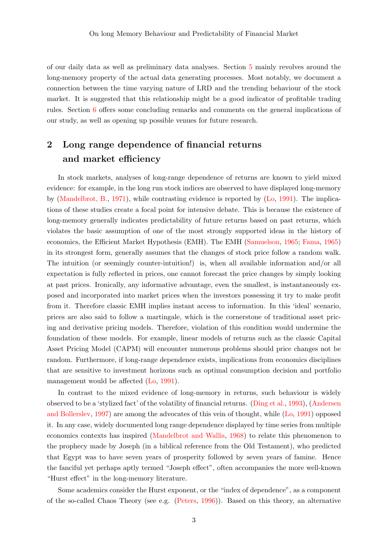of our daily data as well as preliminary data analyses. Section [5](#page-19-0) mainly revolves around the long-memory property of the actual data generating processes. Most notably, we document a connection between the time varying nature of LRD and the trending behaviour of the stock market. It is suggested that this relationship might be a good indicator of profitable trading rules. Section [6](#page-28-0) offers some concluding remarks and comments on the general implications of our study, as well as opening up possible venues for future research.

## <span id="page-4-0"></span>2 Long range dependence of financial returns and market efficiency

In stock markets, analyses of long-range dependence of returns are known to yield mixed evidence: for example, in the long run stock indices are observed to have displayed long-memory by [\(Mandelbrot, B.,](#page-31-2) [1971\)](#page-31-2), while contrasting evidence is reported by [\(Lo,](#page-31-3) [1991\)](#page-31-3). The implications of these studies create a focal point for intensive debate. This is because the existence of long-memory generally indicates predictability of future returns based on past returns, which violates the basic assumption of one of the most strongly supported ideas in the history of economics, the Efficient Market Hypothesis (EMH). The EMH [\(Samuelson,](#page-32-0) [1965;](#page-32-0) [Fama,](#page-30-0) [1965\)](#page-30-0) in its strongest form, generally assumes that the changes of stock price follow a random walk. The intuition (or seemingly counter-intuition!) is, when all available information and/or all expectation is fully reflected in prices, one cannot forecast the price changes by simply looking at past prices. Ironically, any informative advantage, even the smallest, is instantaneously exposed and incorporated into market prices when the investors possessing it try to make profit from it. Therefore classic EMH implies instant access to information. In this 'ideal' scenario, prices are also said to follow a martingale, which is the cornerstone of traditional asset pricing and derivative pricing models. Therefore, violation of this condition would undermine the foundation of these models. For example, linear models of returns such as the classic Capital Asset Pricing Model (CAPM) will encounter numerous problems should price changes not be random. Furthermore, if long-range dependence exists, implications from economics disciplines that are sensitive to investment horizons such as optimal consumption decision and portfolio management would be affected [\(Lo,](#page-31-3) [1991\)](#page-31-3).

In contrast to the mixed evidence of long-memory in returns, such behaviour is widely observed to be a 'stylized fact' of the volatility of financial returns. [\(Ding et al.,](#page-30-3) [1993\)](#page-30-3), [\(Andersen](#page-30-4) [and Bollerslev,](#page-30-4) [1997\)](#page-30-4) are among the advocates of this vein of thought, while [\(Lo,](#page-31-3) [1991\)](#page-31-3) opposed it. In any case, widely documented long range dependence displayed by time series from multiple economics contexts has inspired [\(Mandelbrot and Wallis,](#page-31-4) [1968\)](#page-31-4) to relate this phenomenon to the prophecy made by Joseph (in a biblical reference from the Old Testament), who predicted that Egypt was to have seven years of prosperity followed by seven years of famine. Hence the fanciful yet perhaps aptly termed "Joseph effect", often accompanies the more well-known "Hurst effect" in the long-memory literature.

Some academics consider the Hurst exponent, or the "index of dependence", as a component of the so-called Chaos Theory (see e.g. [\(Peters,](#page-32-1) [1996\)](#page-32-1)). Based on this theory, an alternative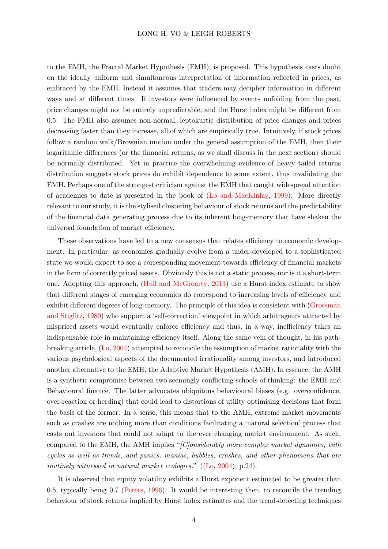to the EMH, the Fractal Market Hypothesis (FMH), is proposed. This hypothesis casts doubt on the ideally uniform and simultaneous interpretation of information reflected in prices, as embraced by the EMH. Instead it assumes that traders may decipher information in different ways and at different times. If investors were influenced by events unfolding from the past, price changes might not be entirely unpredictable, and the Hurst index might be different from 0.5. The FMH also assumes non-normal, leptokurtic distribution of price changes and prices decreasing faster than they increase, all of which are empirically true. Intuitively, if stock prices follow a random walk/Brownian motion under the general assumption of the EMH, then their logarithmic differences (or the financial returns, as we shall discuss in the next section) should be normally distributed. Yet in practice the overwhelming evidence of heavy tailed returns distribution suggests stock prices do exhibit dependence to some extent, thus invalidating the EMH. Perhaps one of the strongest criticism against the EMH that caught widespread attention of academics to date is presented in the book of [\(Lo and MacKinlay,](#page-31-5) [1999\)](#page-31-5). More directly relevant to our study, it is the stylised clustering behaviour of stock returns and the predictability of the financial data generating process due to its inherent long-memory that have shaken the universal foundation of market efficiency.

These observations have led to a new consensus that relates efficiency to economic development. In particular, as economies gradually evolve from a under-developed to a sophisticated state we would expect to see a corresponding movement towards efficiency of financial markets in the form of correctly priced assets. Obviously this is not a static process, nor is it a short-term one. Adopting this approach, [\(Hull and McGroarty,](#page-31-6) [2013\)](#page-31-6) use a Hurst index estimate to show that different stages of emerging economies do correspond to increasing levels of efficiency and exhibit different degrees of long-memory. The principle of this idea is consistent with [\(Grossman](#page-31-7) [and Stiglitz,](#page-31-7) [1980\)](#page-31-7) who support a 'self-correction' viewpoint in which arbitrageurs attracted by mispriced assets would eventually enforce efficiency and thus, in a way, inefficiency takes an indispensable role in maintaining efficiency itself. Along the same vein of thought, in his pathbreaking article, [\(Lo,](#page-31-0) [2004\)](#page-31-0) attempted to reconcile the assumption of market rationality with the various psychological aspects of the documented irrationality among investors, and introduced another alternative to the EMH, the Adaptive Market Hypothesis (AMH). In essence, the AMH is a synthetic compromise between two seemingly conflicting schools of thinking: the EMH and Behavioural finance. The latter advocates ubiquitous behavioural biases (e.g. overconfidence, over-reaction or herding) that could lead to distortions of utility optimising decisions that form the basis of the former. In a sense, this means that to the AMH, extreme market movements such as crashes are nothing more than conditions facilitating a 'natural selection' process that casts out investors that could not adapt to the ever changing market environment. As such, compared to the EMH, the AMH implies " $|C|$ onsiderably more complex market dynamics, with cycles as well as trends, and panics, manias, bubbles, crashes, and other phenomena that are routinely witnessed in natural market ecologies." ([\(Lo,](#page-31-0) [2004\)](#page-31-0), p.24).

It is observed that equity volatility exhibits a Hurst exponent estimated to be greater than 0.5, typically being 0.7 [\(Peters,](#page-32-1) [1996\)](#page-32-1). It would be interesting then, to reconcile the trending behaviour of stock returns implied by Hurst index estimates and the trend-detecting techniques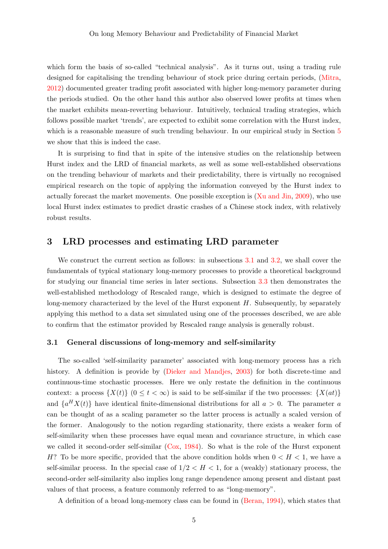which form the basis of so-called "technical analysis". As it turns out, using a trading rule designed for capitalising the trending behaviour of stock price during certain periods, [\(Mitra,](#page-32-2) [2012\)](#page-32-2) documented greater trading profit associated with higher long-memory parameter during the periods studied. On the other hand this author also observed lower profits at times when the market exhibits mean-reverting behaviour. Intuitively, technical trading strategies, which follows possible market 'trends', are expected to exhibit some correlation with the Hurst index, which is a reasonable measure of such trending behaviour. In our empirical study in Section  $5$ we show that this is indeed the case.

It is surprising to find that in spite of the intensive studies on the relationship between Hurst index and the LRD of financial markets, as well as some well-established observations on the trending behaviour of markets and their predictability, there is virtually no recognised empirical research on the topic of applying the information conveyed by the Hurst index to actually forecast the market movements. One possible exception is  $(Xu$  and Jin, [2009\)](#page-32-3), who use local Hurst index estimates to predict drastic crashes of a Chinese stock index, with relatively robust results.

## <span id="page-6-0"></span>3 LRD processes and estimating LRD parameter

We construct the current section as follows: in subsections [3.1](#page-6-1) and [3.2,](#page-7-0) we shall cover the fundamentals of typical stationary long-memory processes to provide a theoretical background for studying our financial time series in later sections. Subsection [3.3](#page-10-0) then demonstrates the well-established methodology of Rescaled range, which is designed to estimate the degree of long-memory characterized by the level of the Hurst exponent H. Subsequently, by separately applying this method to a data set simulated using one of the processes described, we are able to confirm that the estimator provided by Rescaled range analysis is generally robust.

#### <span id="page-6-1"></span>3.1 General discussions of long-memory and self-similarity

The so-called 'self-similarity parameter' associated with long-memory process has a rich history. A definition is provide by [\(Dieker and Mandjes,](#page-30-5) [2003\)](#page-30-5) for both discrete-time and continuous-time stochastic processes. Here we only restate the definition in the continuous context: a process  $\{X(t)\}\ (0 \leq t < \infty)$  is said to be self-similar if the two processes:  $\{X(at)\}\$ and  $\{a^H X(t)\}\$  have identical finite-dimensional distributions for all  $a > 0$ . The parameter a can be thought of as a scaling parameter so the latter process is actually a scaled version of the former. Analogously to the notion regarding stationarity, there exists a weaker form of self-similarity when these processes have equal mean and covariance structure, in which case we called it second-order self-similar [\(Cox,](#page-30-6) [1984\)](#page-30-6). So what is the role of the Hurst exponent H? To be more specific, provided that the above condition holds when  $0 < H < 1$ , we have a self-similar process. In the special case of  $1/2 < H < 1$ , for a (weakly) stationary process, the second-order self-similarity also implies long range dependence among present and distant past values of that process, a feature commonly referred to as "long-memory".

A definition of a broad long-memory class can be found in [\(Beran,](#page-30-7) [1994\)](#page-30-7), which states that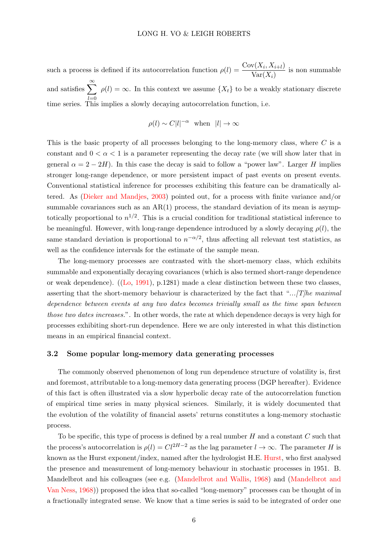such a process is defined if its autocorrelation function  $\rho(l) = \frac{\text{Cov}(X_i, X_{i+l})}{\sum_{l} (X_l)}$  $\frac{\sqrt{(X_i)}\sqrt{X_i}}{\sqrt{\text{Var}(X_i)}}$  is non summable and satisfies  $\sum_{n=1}^{\infty}$  $_{l=0}$  $\rho(l) = \infty$ . In this context we assume  $\{X_t\}$  to be a weakly stationary discrete time series. This implies a slowly decaying autocorrelation function, i.e.

$$
\rho(l) \sim C|l|^{-\alpha}
$$
 when  $|l| \to \infty$ 

This is the basic property of all processes belonging to the long-memory class, where  $C$  is a constant and  $0 < \alpha < 1$  is a parameter representing the decay rate (we will show later that in general  $\alpha = 2 - 2H$ ). In this case the decay is said to follow a "power law". Larger H implies stronger long-range dependence, or more persistent impact of past events on present events. Conventional statistical inference for processes exhibiting this feature can be dramatically altered. As [\(Dieker and Mandjes,](#page-30-5) [2003\)](#page-30-5) pointed out, for a process with finite variance and/or summable covariances such as an  $AR(1)$  process, the standard deviation of its mean is asymptotically proportional to  $n^{1/2}$ . This is a crucial condition for traditional statistical inference to be meaningful. However, with long-range dependence introduced by a slowly decaying  $\rho(l)$ , the same standard deviation is proportional to  $n^{-\alpha/2}$ , thus affecting all relevant test statistics, as well as the confidence intervals for the estimate of the sample mean.

The long-memory processes are contrasted with the short-memory class, which exhibits summable and exponentially decaying covariances (which is also termed short-range dependence or weak dependence).  $((Lo. 1991), p.1281)$  $((Lo. 1991), p.1281)$  $((Lo. 1991), p.1281)$  made a clear distinction between these two classes, asserting that the short-memory behaviour is characterized by the fact that ".... $|T|$ he maximal dependence between events at any two dates becomes trivially small as the time span between those two dates increases.". In other words, the rate at which dependence decays is very high for processes exhibiting short-run dependence. Here we are only interested in what this distinction means in an empirical financial context.

#### <span id="page-7-0"></span>3.2 Some popular long-memory data generating processes

The commonly observed phenomenon of long run dependence structure of volatility is, first and foremost, attributable to a long-memory data generating process (DGP hereafter). Evidence of this fact is often illustrated via a slow hyperbolic decay rate of the autocorrelation function of empirical time series in many physical sciences. Similarly, it is widely documented that the evolution of the volatility of financial assets' returns constitutes a long-memory stochastic process.

To be specific, this type of process is defined by a real number  $H$  and a constant  $C$  such that the process's autocorrelation is  $\rho(l) = Cl^{2H-2}$  as the lag parameter  $l \to \infty$ . The parameter H is known as the Hurst exponent/index, named after the hydrologist H.E. [Hurst,](#page-31-8) who first analysed the presence and measurement of long-memory behaviour in stochastic processes in 1951. B. Mandelbrot and his colleagues (see e.g. [\(Mandelbrot and Wallis,](#page-31-4) [1968\)](#page-31-4) and [\(Mandelbrot and](#page-31-9) [Van Ness,](#page-31-9) [1968\)](#page-31-9)) proposed the idea that so-called "long-memory" processes can be thought of in a fractionally integrated sense. We know that a time series is said to be integrated of order one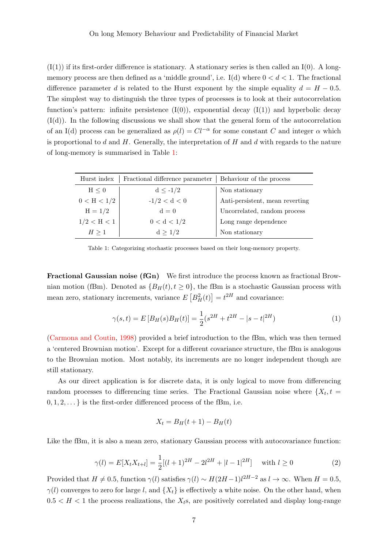$(I(1))$  if its first-order difference is stationary. A stationary series is then called an  $I(0)$ . A longmemory process are then defined as a 'middle ground', i.e. I(d) where  $0 < d < 1$ . The fractional difference parameter d is related to the Hurst exponent by the simple equality  $d = H - 0.5$ . The simplest way to distinguish the three types of processes is to look at their autocorrelation function's pattern: infinite persistence  $(I(0))$ , exponential decay  $(I(1))$  and hyperbolic decay  $(I(d))$ . In the following discussions we shall show that the general form of the autocorrelation of an I(d) process can be generalized as  $\rho(l) = Cl^{-\alpha}$  for some constant C and integer  $\alpha$  which is proportional to  $d$  and  $H$ . Generally, the interpretation of  $H$  and  $d$  with regards to the nature of long-memory is summarised in Table [1:](#page-8-0)

<span id="page-8-0"></span>

| Hurst index | Fractional difference parameter | Behaviour of the process        |
|-------------|---------------------------------|---------------------------------|
| $H \leq 0$  | $d \le -1/2$                    | Non stationary                  |
| 0 < H < 1/2 | $-1/2 < d < 0$                  | Anti-persistent, mean reverting |
| $H = 1/2$   | $d=0$                           | Uncorrelated, random process    |
| 1/2 < H < 1 | 0 < d < 1/2                     | Long range dependence           |
| H > 1       | d > 1/2                         | Non stationary                  |

Table 1: Categorizing stochastic processes based on their long-memory property.

Fractional Gaussian noise (fGn) We first introduce the process known as fractional Brownian motion (fBm). Denoted as  ${B_H(t), t \ge 0}$ , the fBm is a stochastic Gaussian process with mean zero, stationary increments, variance  $E\left[B_H^2(t)\right] = t^{2H}$  and covariance:

$$
\gamma(s,t) = E\left[B_H(s)B_H(t)\right] = \frac{1}{2}(s^{2H} + t^{2H} - |s - t|^{2H})\tag{1}
$$

[\(Carmona and Coutin,](#page-30-8) [1998\)](#page-30-8) provided a brief introduction to the fBm, which was then termed a 'centered Brownian motion'. Except for a different covariance structure, the fBm is analogous to the Brownian motion. Most notably, its increments are no longer independent though are still stationary.

As our direct application is for discrete data, it is only logical to move from differencing random processes to differencing time series. The Fractional Gaussian noise where  $\{X_t, t =$  $0, 1, 2, \ldots$  is the first-order differenced process of the fBm, i.e.

$$
X_t = B_H(t+1) - B_H(t)
$$

Like the fBm, it is also a mean zero, stationary Gaussian process with autocovariance function:

$$
\gamma(l) = E[X_t X_{t+l}] = \frac{1}{2}[(l+1)^{2H} - 2l^{2H} + |l-1|^{2H}] \quad \text{with } l \ge 0
$$
 (2)

Provided that  $H \neq 0.5$ , function  $\gamma(l)$  satisfies  $\gamma(l) \sim H(2H-1)l^{2H-2}$  as  $l \to \infty$ . When  $H = 0.5$ ,  $\gamma(l)$  converges to zero for large l, and  $\{X_t\}$  is effectively a white noise. On the other hand, when  $0.5 < H < 1$  the process realizations, the  $X_t$ s, are positively correlated and display long-range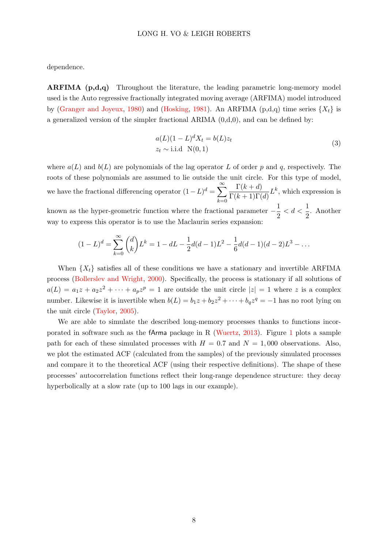dependence.

ARFIMA (p,d,q) Throughout the literature, the leading parametric long-memory model used is the Auto regressive fractionally integrated moving average (ARFIMA) model introduced by [\(Granger and Joyeux,](#page-31-10) [1980\)](#page-31-10) and [\(Hosking,](#page-31-11) [1981\)](#page-31-11). An ARFIMA (p,d,q) time series  $\{X_t\}$  is a generalized version of the simpler fractional ARIMA  $(0,d,0)$ , and can be defined by:

$$
a(L)(1-L)^{d}X_{t} = b(L)z_{t}
$$
  

$$
z_{t} \sim \text{i.i.d} \ \mathcal{N}(0,1)
$$
 (3)

where  $a(L)$  and  $b(L)$  are polynomials of the lag operator L of order p and q, respectively. The roots of these polynomials are assumed to lie outside the unit circle. For this type of model, we have the fractional differencing operator  $(1-L)^d = \sum_{k=1}^{\infty}$  $k=0$  $\Gamma(k+d)$  $\frac{1}{\Gamma(k+1)\Gamma(d)} L^k$ , which expression is known as the hyper-geometric function where the fractional parameter  $-\frac{1}{2}$  $\frac{1}{2} < d < \frac{1}{2}$ . Another way to express this operator is to use the Maclaurin series expansion:

$$
(1-L)^d = \sum_{k=0}^{\infty} {d \choose k} L^k = 1 - dL - \frac{1}{2}d(d-1)L^2 - \frac{1}{6}d(d-1)(d-2)L^3 - \dots
$$

When  ${X_t}$  satisfies all of these conditions we have a stationary and invertible ARFIMA process [\(Bollerslev and Wright,](#page-30-9) [2000\)](#page-30-9). Specifically, the process is stationary if all solutions of  $a(L) = a_1z + a_2z^2 + \cdots + a_pz^p = 1$  are outside the unit circle  $|z| = 1$  where z is a complex number. Likewise it is invertible when  $b(L) = b_1 z + b_2 z^2 + \cdots + b_q z^q = -1$  has no root lying on the unit circle [\(Taylor,](#page-32-4) [2005\)](#page-32-4).

We are able to simulate the described long-memory processes thanks to functions incorporated in software such as the fArma package in R [\(Wuertz,](#page-32-5) [2013\)](#page-32-5). Figure [1](#page-10-1) plots a sample path for each of these simulated processes with  $H = 0.7$  and  $N = 1,000$  observations. Also, we plot the estimated ACF (calculated from the samples) of the previously simulated processes and compare it to the theoretical ACF (using their respective definitions). The shape of these processes' autocorrelation functions reflect their long-range dependence structure: they decay hyperbolically at a slow rate (up to 100 lags in our example).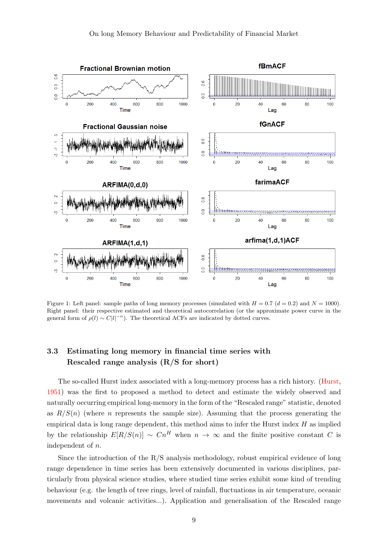<span id="page-10-1"></span>

Figure 1: Left panel: sample paths of long memory processes (simulated with  $H = 0.7$   $(d = 0.2)$  and  $N = 1000$ ). Right panel: their respective estimated and theoretical autocorrelation (or the approximate power curve in the general form of  $\rho(l) \sim C|l|^{-\alpha}$ ). The theoretical ACFs are indicated by dotted curves.

## <span id="page-10-0"></span>3.3 Estimating long memory in financial time series with Rescaled range analysis (R/S for short)

The so-called Hurst index associated with a long-memory process has a rich history. [\(Hurst,](#page-31-8) [1951\)](#page-31-8) was the first to proposed a method to detect and estimate the widely observed and naturally occurring empirical long-memory in the form of the "Rescaled range" statistic, denoted as  $R/S(n)$  (where n represents the sample size). Assuming that the process generating the empirical data is long range dependent, this method aims to infer the Hurst index  $H$  as implied by the relationship  $E[R/S(n)] \sim Cn^H$  when  $n \to \infty$  and the finite positive constant C is independent of n.

Since the introduction of the  $R/S$  analysis methodology, robust empirical evidence of long range dependence in time series has been extensively documented in various disciplines, particularly from physical science studies, where studied time series exhibit some kind of trending behaviour (e.g. the length of tree rings, level of rainfall, fluctuations in air temperature, oceanic movements and volcanic activities...). Application and generalisation of the Rescaled range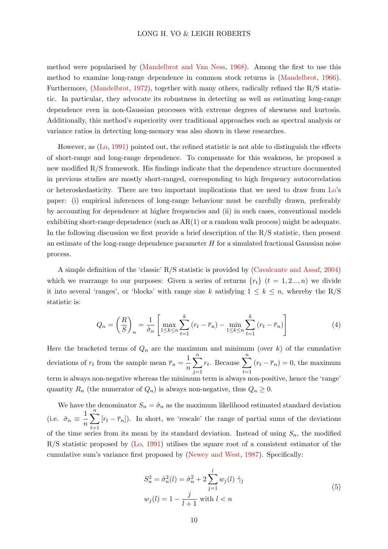method were popularised by [\(Mandelbrot and Van Ness,](#page-31-9) [1968\)](#page-31-9). Among the first to use this method to examine long-range dependence in common stock returns is [\(Mandelbrot,](#page-31-12) [1966\)](#page-31-12). Furthermore, [\(Mandelbrot,](#page-31-13) [1972\)](#page-31-13), together with many others, radically refined the R/S statistic. In particular, they advocate its robustness in detecting as well as estimating long-range dependence even in non-Gaussian processes with extreme degrees of skewness and kurtosis. Additionally, this method's superiority over traditional approaches such as spectral analysis or variance ratios in detecting long-memory was also shown in these researches.

However, as [\(Lo,](#page-31-3) [1991\)](#page-31-3) pointed out, the refined statistic is not able to distinguish the effects of short-range and long-range dependence. To compensate for this weakness, he proposed a new modified R/S framework. His findings indicate that the dependence structure documented in previous studies are mostly short-ranged, corresponding to high frequency autocorrelation or heteroskedasticity. There are two important implications that we need to draw from [Lo'](#page-31-3)s paper: (i) empirical inferences of long-range behaviour must be carefully drawn, preferably by accounting for dependence at higher frequencies and (ii) in such cases, conventional models exhibiting short-range dependence (such as AR(1) or a random walk process) might be adequate. In the following discussion we first provide a brief description of the  $R/S$  statistic, then present an estimate of the long-range dependence parameter  $H$  for a simulated fractional Gaussian noise process.

A simple definition of the 'classic' R/S statistic is provided by [\(Cavalcante and Assaf,](#page-30-10) [2004\)](#page-30-10) which we rearrange to our purposes: Given a series of returns  $\{r_t\}$   $(t = 1, 2..., n)$  we divide it into several 'ranges', or 'blocks' with range size k satisfying  $1 \leq k \leq n$ , whereby the R/S statistic is:

$$
Q_n = \left(\frac{R}{S}\right)_n = \frac{1}{\hat{\sigma}_n} \left[ \max_{1 \le k \le n} \sum_{t=1}^k (r_t - \overline{r}_n) - \min_{1 \le k \le n} \sum_{t=1}^k (r_t - \overline{r}_n) \right]
$$
(4)

Here the bracketed terms of  $Q_n$  are the maximum and minimum (over k) of the cumulative deviations of  $r_t$  from the sample mean  $\bar{r}_n = \frac{1}{n}$ n  $\sum_{n=1}^{\infty}$  $j=1$  $r_t$ . Because  $\sum_{n=1}^{n}$  $t=1$  $(r_t - \overline{r}_n) = 0$ , the maximum term is always non-negative whereas the minimum term is always non-positive, hence the 'range' quantity  $R_n$  (the numerator of  $Q_n$ ) is always non-negative, thus  $Q_n \geq 0$ .

We have the denominator  $S_n = \hat{\sigma}_n$  as the maximum likelihood estimated standard deviation (i.e.  $\hat{\sigma}_n \equiv \frac{1}{n}$ n  $\sum_{n=1}^{\infty}$  $t=1$  $[r_t - \overline{r}_n]$ . In short, we 'rescale' the range of partial sums of the deviations of the time series from its mean by its standard deviation. Instead of using  $S_n$ , the modified R/S statistic proposed by [\(Lo,](#page-31-3) [1991\)](#page-31-3) utilises the square root of a consistent estimator of the cumulative sum's variance first proposed by [\(Newey and West,](#page-32-6) [1987\)](#page-32-6). Specifically:

<span id="page-11-0"></span>
$$
S_n^2 = \hat{\sigma}_n^2(l) = \hat{\sigma}_n^2 + 2 \sum_{j=1}^l w_j(l) \hat{\gamma}_j
$$
  

$$
w_j(l) = 1 - \frac{j}{l+1} \text{ with } l < n
$$
\n<sup>(5)</sup>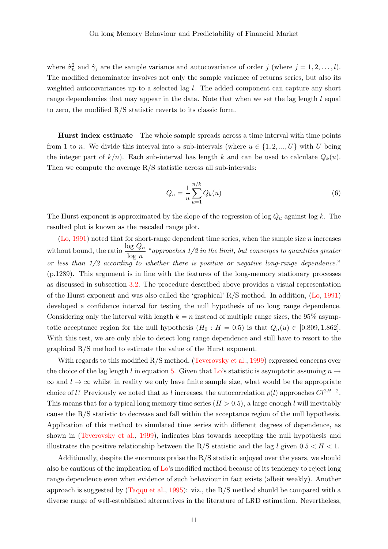where  $\hat{\sigma}_n^2$  and  $\hat{\gamma}_j$  are the sample variance and autocovariance of order j (where  $j = 1, 2, ..., l$ ). The modified denominator involves not only the sample variance of returns series, but also its weighted autocovariances up to a selected lag l. The added component can capture any short range dependencies that may appear in the data. Note that when we set the lag length  $l$  equal to zero, the modified R/S statistic reverts to its classic form.

Hurst index estimate The whole sample spreads across a time interval with time points from 1 to n. We divide this interval into u sub-intervals (where  $u \in \{1, 2, ..., U\}$  with U being the integer part of  $k/n$ . Each sub-interval has length k and can be used to calculate  $Q_k(u)$ . Then we compute the average R/S statistic across all sub-intervals:

$$
Q_u = \frac{1}{u} \sum_{u=1}^{n/k} Q_k(u)
$$
\n(6)

The Hurst exponent is approximated by the slope of the regression of log  $Q_u$  against log k. The resulted plot is known as the rescaled range plot.

 $(L_0, 1991)$  $(L_0, 1991)$  noted that for short-range dependent time series, when the sample size *n* increases without bound, the ratio  $\frac{\log Q_n}{\log n}$  "approaches 1/2 in the limit, but converges to quantities greater or less than 1/2 according to whether there is positive or negative long-range dependence." (p.1289). This argument is in line with the features of the long-memory stationary processes as discussed in subsection [3.2.](#page-7-0) The procedure described above provides a visual representation of the Hurst exponent and was also called the 'graphical' R/S method. In addition, [\(Lo,](#page-31-3) [1991\)](#page-31-3) developed a confidence interval for testing the null hypothesis of no long range dependence. Considering only the interval with length  $k = n$  instead of multiple range sizes, the 95% asymptotic acceptance region for the null hypothesis  $(H_0 : H = 0.5)$  is that  $Q_n(u) \in [0.809, 1.862]$ . With this test, we are only able to detect long range dependence and still have to resort to the graphical R/S method to estimate the value of the Hurst exponent.

With regards to this modified R/S method, [\(Teverovsky et al.,](#page-32-7) [1999\)](#page-32-7) expressed concerns over the choice of the lag length l in equation [5.](#page-11-0) Given that [Lo'](#page-31-3)s statistic is asymptotic assuming  $n \rightarrow$  $\infty$  and  $l \to \infty$  whilst in reality we only have finite sample size, what would be the appropriate choice of l? Previously we noted that as l increases, the autocorrelation  $\rho(l)$  approaches  $Cl^{2H-2}$ . This means that for a typical long memory time series  $(H > 0.5)$ , a large enough l will inevitably cause the R/S statistic to decrease and fall within the acceptance region of the null hypothesis. Application of this method to simulated time series with different degrees of dependence, as shown in [\(Teverovsky et al.,](#page-32-7) [1999\)](#page-32-7), indicates bias towards accepting the null hypothesis and illustrates the positive relationship between the R/S statistic and the lag l given  $0.5 < H < 1$ .

Additionally, despite the enormous praise the R/S statistic enjoyed over the years, we should also be cautious of the implication of [Lo'](#page-31-3)s modified method because of its tendency to reject long range dependence even when evidence of such behaviour in fact exists (albeit weakly). Another approach is suggested by [\(Taqqu et al.,](#page-32-8) [1995\)](#page-32-8): viz., the  $R/S$  method should be compared with a diverse range of well-established alternatives in the literature of LRD estimation. Nevertheless,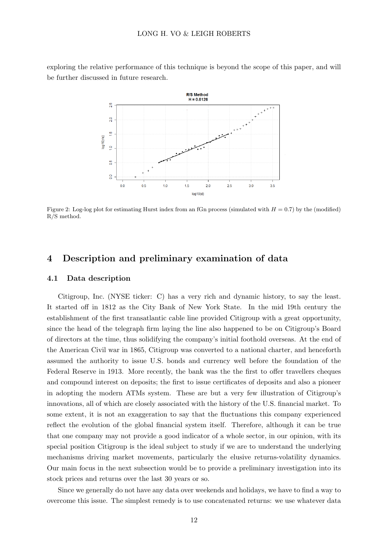exploring the relative performance of this technique is beyond the scope of this paper, and will be further discussed in future research.



Figure 2: Log-log plot for estimating Hurst index from an fGn process (simulated with  $H = 0.7$ ) by the (modified) R/S method.

## <span id="page-13-0"></span>4 Description and preliminary examination of data

#### <span id="page-13-1"></span>4.1 Data description

Citigroup, Inc. (NYSE ticker: C) has a very rich and dynamic history, to say the least. It started off in 1812 as the City Bank of New York State. In the mid 19th century the establishment of the first transatlantic cable line provided Citigroup with a great opportunity, since the head of the telegraph firm laying the line also happened to be on Citigroup's Board of directors at the time, thus solidifying the company's initial foothold overseas. At the end of the American Civil war in 1865, Citigroup was converted to a national charter, and henceforth assumed the authority to issue U.S. bonds and currency well before the foundation of the Federal Reserve in 1913. More recently, the bank was the the first to offer travellers cheques and compound interest on deposits; the first to issue certificates of deposits and also a pioneer in adopting the modern ATMs system. These are but a very few illustration of Citigroup's innovations, all of which are closely associated with the history of the U.S. financial market. To some extent, it is not an exaggeration to say that the fluctuations this company experienced reflect the evolution of the global financial system itself. Therefore, although it can be true that one company may not provide a good indicator of a whole sector, in our opinion, with its special position Citigroup is the ideal subject to study if we are to understand the underlying mechanisms driving market movements, particularly the elusive returns-volatility dynamics. Our main focus in the next subsection would be to provide a preliminary investigation into its stock prices and returns over the last 30 years or so.

Since we generally do not have any data over weekends and holidays, we have to find a way to overcome this issue. The simplest remedy is to use concatenated returns: we use whatever data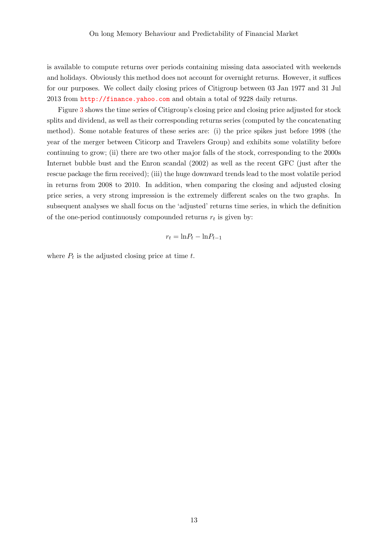is available to compute returns over periods containing missing data associated with weekends and holidays. Obviously this method does not account for overnight returns. However, it suffices for our purposes. We collect daily closing prices of Citigroup between 03 Jan 1977 and 31 Jul 2013 from <http://finance.yahoo.com> and obtain a total of 9228 daily returns.

Figure [3](#page-15-0) shows the time series of Citigroup's closing price and closing price adjusted for stock splits and dividend, as well as their corresponding returns series (computed by the concatenating method). Some notable features of these series are: (i) the price spikes just before 1998 (the year of the merger between Citicorp and Travelers Group) and exhibits some volatility before continuing to grow; (ii) there are two other major falls of the stock, corresponding to the 2000s Internet bubble bust and the Enron scandal (2002) as well as the recent GFC (just after the rescue package the firm received); (iii) the huge downward trends lead to the most volatile period in returns from 2008 to 2010. In addition, when comparing the closing and adjusted closing price series, a very strong impression is the extremely different scales on the two graphs. In subsequent analyses we shall focus on the 'adjusted' returns time series, in which the definition of the one-period continuously compounded returns  $r_t$  is given by:

$$
r_t = \ln P_t - \ln P_{t-1}
$$

where  $P_t$  is the adjusted closing price at time t.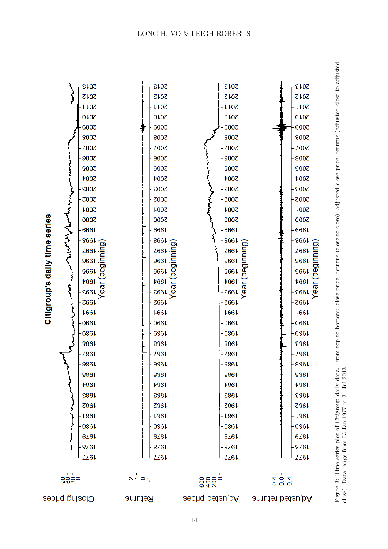<span id="page-15-0"></span>

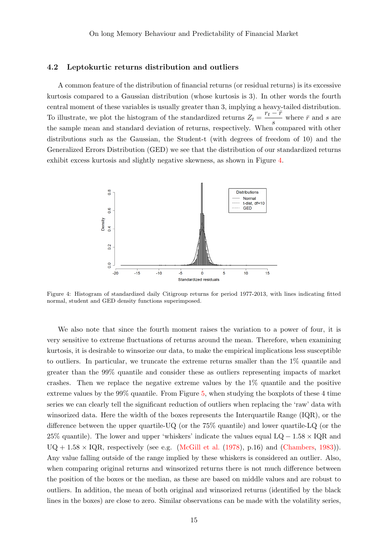#### <span id="page-16-1"></span>4.2 Leptokurtic returns distribution and outliers

A common feature of the distribution of financial returns (or residual returns) is its excessive kurtosis compared to a Gaussian distribution (whose kurtosis is 3). In other words the fourth central moment of these variables is usually greater than 3, implying a heavy-tailed distribution. To illustrate, we plot the histogram of the standardized returns  $Z_t = \frac{r_t - \bar{r}}{I}$  $\frac{1}{s}$  where  $\bar{r}$  and s are the sample mean and standard deviation of returns, respectively. When compared with other distributions such as the Gaussian, the Student-t (with degrees of freedom of 10) and the Generalized Errors Distribution (GED) we see that the distribution of our standardized returns exhibit excess kurtosis and slightly negative skewness, as shown in Figure [4.](#page-16-0)

<span id="page-16-0"></span>

Figure 4: Histogram of standardized daily Citigroup returns for period 1977-2013, with lines indicating fitted normal, student and GED density functions superimposed.

We also note that since the fourth moment raises the variation to a power of four, it is very sensitive to extreme fluctuations of returns around the mean. Therefore, when examining kurtosis, it is desirable to winsorize our data, to make the empirical implications less susceptible to outliers. In particular, we truncate the extreme returns smaller than the 1% quantile and greater than the 99% quantile and consider these as outliers representing impacts of market crashes. Then we replace the negative extreme values by the  $1\%$  quantile and the positive extreme values by the 99% quantile. From Figure [5,](#page-17-0) when studying the boxplots of these 4 time series we can clearly tell the significant reduction of outliers when replacing the 'raw' data with winsorized data. Here the width of the boxes represents the Interquartile Range (IQR), or the difference between the upper quartile-UQ (or the 75% quantile) and lower quartile-LQ (or the 25% quantile). The lower and upper 'whiskers' indicate the values equal  $LQ - 1.58 \times IQR$  and  $UQ + 1.58 \times IQR$ , respectively (see e.g. [\(McGill et al.](#page-32-9) [\(1978\)](#page-32-9), p.16) and [\(Chambers,](#page-30-11) [1983\)](#page-30-11)). Any value falling outside of the range implied by these whiskers is considered an outlier. Also, when comparing original returns and winsorized returns there is not much difference between the position of the boxes or the median, as these are based on middle values and are robust to outliers. In addition, the mean of both original and winsorized returns (identified by the black lines in the boxes) are close to zero. Similar observations can be made with the volatility series,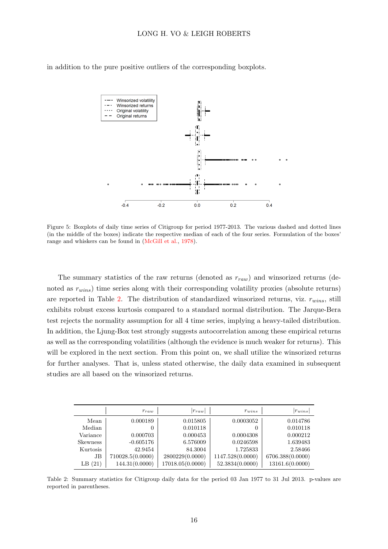<span id="page-17-0"></span>in addition to the pure positive outliers of the corresponding boxplots.



Figure 5: Boxplots of daily time series of Citigroup for period 1977-2013. The various dashed and dotted lines (in the middle of the boxes) indicate the respective median of each of the four series. Formulation of the boxes' range and whiskers can be found in [\(McGill et al.,](#page-32-9) [1978\)](#page-32-9).

The summary statistics of the raw returns (denoted as  $r_{raw}$ ) and winsorized returns (denoted as  $r_{wins}$ ) time series along with their corresponding volatility proxies (absolute returns) are reported in Table [2.](#page-17-1) The distribution of standardized winsorized returns, viz.  $r_{wins}$ , still exhibits robust excess kurtosis compared to a standard normal distribution. The Jarque-Bera test rejects the normality assumption for all 4 time series, implying a heavy-tailed distribution. In addition, the Ljung-Box test strongly suggests autocorrelation among these empirical returns as well as the corresponding volatilities (although the evidence is much weaker for returns). This will be explored in the next section. From this point on, we shall utilize the winsorized returns for further analyses. That is, unless stated otherwise, the daily data examined in subsequent studies are all based on the winsorized returns.

<span id="page-17-1"></span>

|                 | $r_{raw}$        | $ r_{raw} $      | $r_{wins}$       | $ r_{wins} $     |
|-----------------|------------------|------------------|------------------|------------------|
| Mean            | 0.000189         | 0.015805         | 0.0003052        | 0.014786         |
| Median          | 0                | 0.010118         | $\theta$         | 0.010118         |
| Variance        | 0.000703         | 0.000453         | 0.0004308        | 0.000212         |
| <b>Skewness</b> | $-0.605176$      | 6.576009         | 0.0246598        | 1.639483         |
| Kurtosis        | 42.9454          | 84.3004          | 1.725833         | 2.58466          |
| JB              | 710028.5(0.0000) | 2800229(0.0000)  | 1147.528(0.0000) | 6706.388(0.0000) |
| LB(21)          | 144.31(0.0000)   | 17018.05(0.0000) | 52.3834(0.0000)  | 13161.6(0.0000)  |

Table 2: Summary statistics for Citigroup daily data for the period 03 Jan 1977 to 31 Jul 2013. p-values are reported in parentheses.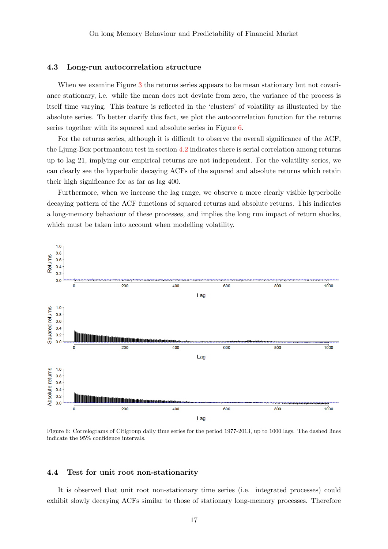#### 4.3 Long-run autocorrelation structure

When we examine Figure [3](#page-15-0) the returns series appears to be mean stationary but not covariance stationary, i.e. while the mean does not deviate from zero, the variance of the process is itself time varying. This feature is reflected in the 'clusters' of volatility as illustrated by the absolute series. To better clarify this fact, we plot the autocorrelation function for the returns series together with its squared and absolute series in Figure [6.](#page-18-0)

For the returns series, although it is difficult to observe the overall significance of the ACF, the Ljung-Box portmanteau test in section [4.2](#page-16-1) indicates there is serial correlation among returns up to lag 21, implying our empirical returns are not independent. For the volatility series, we can clearly see the hyperbolic decaying ACFs of the squared and absolute returns which retain their high significance for as far as lag 400.

Furthermore, when we increase the lag range, we observe a more clearly visible hyperbolic decaying pattern of the ACF functions of squared returns and absolute returns. This indicates a long-memory behaviour of these processes, and implies the long run impact of return shocks, which must be taken into account when modelling volatility.

<span id="page-18-0"></span>

Figure 6: Correlograms of Citigroup daily time series for the period 1977-2013, up to 1000 lags. The dashed lines indicate the 95% confidence intervals.

#### 4.4 Test for unit root non-stationarity

It is observed that unit root non-stationary time series (i.e. integrated processes) could exhibit slowly decaying ACFs similar to those of stationary long-memory processes. Therefore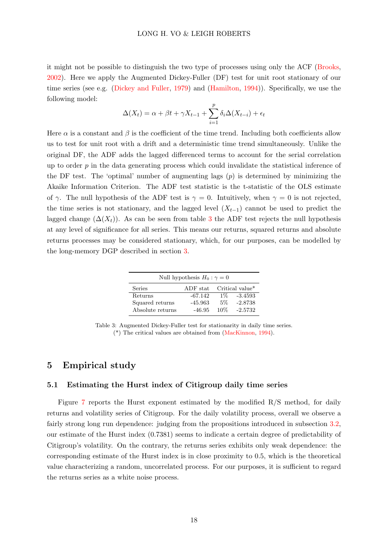it might not be possible to distinguish the two type of processes using only the ACF [\(Brooks,](#page-30-12) [2002\)](#page-30-12). Here we apply the Augmented Dickey-Fuller (DF) test for unit root stationary of our time series (see e.g. [\(Dickey and Fuller,](#page-30-13) [1979\)](#page-30-13) and [\(Hamilton,](#page-31-14) [1994\)](#page-31-14)). Specifically, we use the following model:

$$
\Delta(X_t) = \alpha + \beta t + \gamma X_{t-1} + \sum_{i=1}^p \delta_i \Delta(X_{t-i}) + \epsilon_t
$$

Here  $\alpha$  is a constant and  $\beta$  is the coefficient of the time trend. Including both coefficients allow us to test for unit root with a drift and a deterministic time trend simultaneously. Unlike the original DF, the ADF adds the lagged differenced terms to account for the serial correlation up to order  $p$  in the data generating process which could invalidate the statistical inference of the DF test. The 'optimal' number of augmenting lags  $(p)$  is determined by minimizing the Akaike Information Criterion. The ADF test statistic is the t-statistic of the OLS estimate of  $\gamma$ . The null hypothesis of the ADF test is  $\gamma = 0$ . Intuitively, when  $\gamma = 0$  is not rejected, the time series is not stationary, and the lagged level  $(X_{t-1})$  cannot be used to predict the lagged change  $(\Delta(X_t))$ . As can be seen from table [3](#page-19-1) the ADF test rejects the null hypothesis at any level of significance for all series. This means our returns, squared returns and absolute returns processes may be considered stationary, which, for our purposes, can be modelled by the long-memory DGP described in section [3.](#page-6-0)

| Null hypothesis $H_0$ : $\gamma = 0$  |           |        |           |  |  |  |
|---------------------------------------|-----------|--------|-----------|--|--|--|
| Critical value*<br>Series<br>ADF stat |           |        |           |  |  |  |
| Returns                               | $-67.142$ | $1\%$  | $-3.4593$ |  |  |  |
| Squared returns                       | $-45.963$ | $5\%$  | $-2.8738$ |  |  |  |
| Absolute returns                      | $-46.95$  | $10\%$ | $-2.5732$ |  |  |  |

<span id="page-19-1"></span>Table 3: Augmented Dickey-Fuller test for stationarity in daily time series. (\*) The critical values are obtained from [\(MacKinnon,](#page-31-15) [1994\)](#page-31-15).

## <span id="page-19-0"></span>5 Empirical study

#### 5.1 Estimating the Hurst index of Citigroup daily time series

Figure [7](#page-20-0) reports the Hurst exponent estimated by the modified R/S method, for daily returns and volatility series of Citigroup. For the daily volatility process, overall we observe a fairly strong long run dependence: judging from the propositions introduced in subsection [3.2,](#page-7-0) our estimate of the Hurst index (0.7381) seems to indicate a certain degree of predictability of Citigroup's volatility. On the contrary, the returns series exhibits only weak dependence: the corresponding estimate of the Hurst index is in close proximity to 0.5, which is the theoretical value characterizing a random, uncorrelated process. For our purposes, it is sufficient to regard the returns series as a white noise process.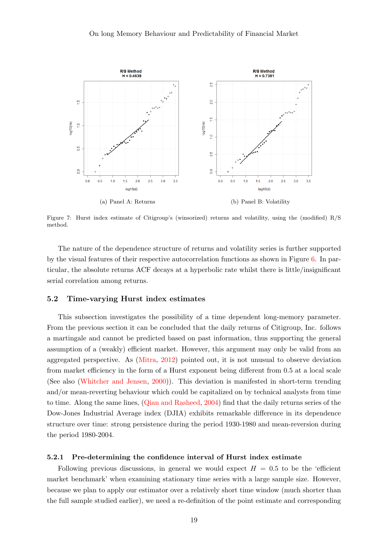<span id="page-20-0"></span>

Figure 7: Hurst index estimate of Citigroup's (winsorized) returns and volatility, using the (modified) R/S method.

The nature of the dependence structure of returns and volatility series is further supported by the visual features of their respective autocorrelation functions as shown in Figure  $6$ . In particular, the absolute returns ACF decays at a hyperbolic rate whilst there is little/insignificant serial correlation among returns.

#### 5.2 Time-varying Hurst index estimates

This subsection investigates the possibility of a time dependent long-memory parameter. From the previous section it can be concluded that the daily returns of Citigroup, Inc. follows a martingale and cannot be predicted based on past information, thus supporting the general assumption of a (weakly) efficient market. However, this argument may only be valid from an aggregated perspective. As [\(Mitra,](#page-32-2) [2012\)](#page-32-2) pointed out, it is not unusual to observe deviation from market efficiency in the form of a Hurst exponent being different from 0.5 at a local scale (See also [\(Whitcher and Jensen,](#page-32-10) [2000\)](#page-32-10)). This deviation is manifested in short-term trending and/or mean-reverting behaviour which could be capitalized on by technical analysts from time to time. Along the same lines, [\(Qian and Rasheed,](#page-32-11) [2004\)](#page-32-11) find that the daily returns series of the Dow-Jones Industrial Average index (DJIA) exhibits remarkable difference in its dependence structure over time: strong persistence during the period 1930-1980 and mean-reversion during the period 1980-2004.

#### 5.2.1 Pre-determining the confidence interval of Hurst index estimate

Following previous discussions, in general we would expect  $H = 0.5$  to be the 'efficient market benchmark' when examining stationary time series with a large sample size. However, because we plan to apply our estimator over a relatively short time window (much shorter than the full sample studied earlier), we need a re-definition of the point estimate and corresponding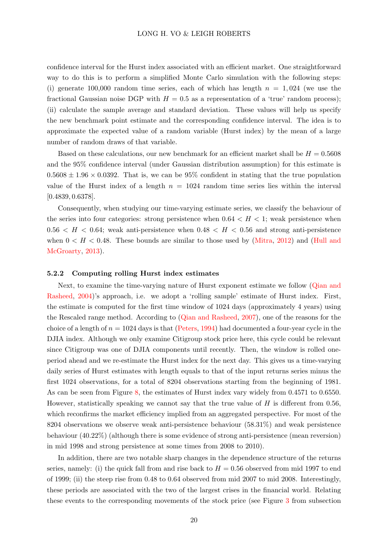confidence interval for the Hurst index associated with an efficient market. One straightforward way to do this is to perform a simplified Monte Carlo simulation with the following steps: (i) generate 100,000 random time series, each of which has length  $n = 1,024$  (we use the fractional Gaussian noise DGP with  $H = 0.5$  as a representation of a 'true' random process); (ii) calculate the sample average and standard deviation. These values will help us specify the new benchmark point estimate and the corresponding confidence interval. The idea is to approximate the expected value of a random variable (Hurst index) by the mean of a large number of random draws of that variable.

Based on these calculations, our new benchmark for an efficient market shall be  $H = 0.5608$ and the 95% confidence interval (under Gaussian distribution assumption) for this estimate is  $0.5608 \pm 1.96 \times 0.0392$ . That is, we can be 95% confident in stating that the true population value of the Hurst index of a length  $n = 1024$  random time series lies within the interval [0.4839, 0.6378].

Consequently, when studying our time-varying estimate series, we classify the behaviour of the series into four categories: strong persistence when  $0.64 < H < 1$ ; weak persistence when  $0.56 < H < 0.64$ ; weak anti-persistence when  $0.48 < H < 0.56$  and strong anti-persistence when  $0 < H < 0.48$ . These bounds are similar to those used by [\(Mitra,](#page-32-2) [2012\)](#page-32-2) and [\(Hull and](#page-31-6) [McGroarty,](#page-31-6) [2013\)](#page-31-6).

#### 5.2.2 Computing rolling Hurst index estimates

Next, to examine the time-varying nature of Hurst exponent estimate we follow [\(Qian and](#page-32-11) [Rasheed,](#page-32-11) [2004\)](#page-32-11)'s approach, i.e. we adopt a 'rolling sample' estimate of Hurst index. First, the estimate is computed for the first time window of 1024 days (approximately 4 years) using the Rescaled range method. According to [\(Qian and Rasheed,](#page-32-12) [2007\)](#page-32-12), one of the reasons for the choice of a length of  $n = 1024$  days is that [\(Peters,](#page-32-13) [1994\)](#page-32-13) had documented a four-year cycle in the DJIA index. Although we only examine Citigroup stock price here, this cycle could be relevant since Citigroup was one of DJIA components until recently. Then, the window is rolled oneperiod ahead and we re-estimate the Hurst index for the next day. This gives us a time-varying daily series of Hurst estimates with length equals to that of the input returns series minus the first 1024 observations, for a total of 8204 observations starting from the beginning of 1981. As can be seen from Figure [8,](#page-22-0) the estimates of Hurst index vary widely from 0.4571 to 0.6550. However, statistically speaking we cannot say that the true value of  $H$  is different from 0.56, which reconfirms the market efficiency implied from an aggregated perspective. For most of the 8204 observations we observe weak anti-persistence behaviour (58.31%) and weak persistence behaviour (40.22%) (although there is some evidence of strong anti-persistence (mean reversion) in mid 1998 and strong persistence at some times from 2008 to 2010).

In addition, there are two notable sharp changes in the dependence structure of the returns series, namely: (i) the quick fall from and rise back to  $H = 0.56$  observed from mid 1997 to end of 1999; (ii) the steep rise from 0.48 to 0.64 observed from mid 2007 to mid 2008. Interestingly, these periods are associated with the two of the largest crises in the financial world. Relating these events to the corresponding movements of the stock price (see Figure [3](#page-15-0) from subsection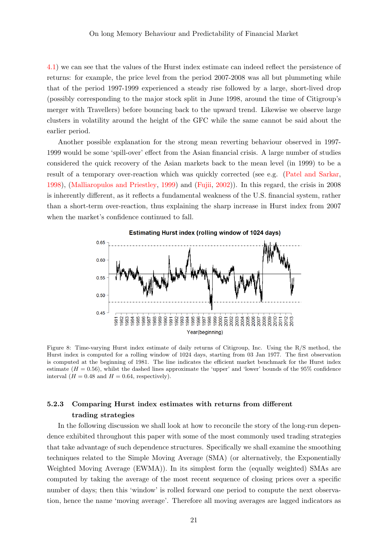[4.1\)](#page-13-1) we can see that the values of the Hurst index estimate can indeed reflect the persistence of returns: for example, the price level from the period 2007-2008 was all but plummeting while that of the period 1997-1999 experienced a steady rise followed by a large, short-lived drop (possibly corresponding to the major stock split in June 1998, around the time of Citigroup's merger with Travellers) before bouncing back to the upward trend. Likewise we observe large clusters in volatility around the height of the GFC while the same cannot be said about the earlier period.

Another possible explanation for the strong mean reverting behaviour observed in 1997- 1999 would be some 'spill-over' effect from the Asian financial crisis. A large number of studies considered the quick recovery of the Asian markets back to the mean level (in 1999) to be a result of a temporary over-reaction which was quickly corrected (see e.g. [\(Patel and Sarkar,](#page-32-14) [1998\)](#page-32-14), [\(Malliaropulos and Priestley,](#page-31-16) [1999\)](#page-31-16) and [\(Fujii,](#page-30-14) [2002\)](#page-30-14)). In this regard, the crisis in 2008 is inherently different, as it reflects a fundamental weakness of the U.S. financial system, rather than a short-term over-reaction, thus explaining the sharp increase in Hurst index from 2007 when the market's confidence continued to fall.

<span id="page-22-0"></span>

Figure 8: Time-varying Hurst index estimate of daily returns of Citigroup, Inc. Using the R/S method, the Hurst index is computed for a rolling window of 1024 days, starting from 03 Jan 1977. The first observation is computed at the beginning of 1981. The line indicates the efficient market benchmark for the Hurst index estimate  $(H = 0.56)$ , whilst the dashed lines approximate the 'upper' and 'lower' bounds of the 95% confidence interval  $(H = 0.48$  and  $H = 0.64$ , respectively).

## <span id="page-22-1"></span>5.2.3 Comparing Hurst index estimates with returns from different trading strategies

In the following discussion we shall look at how to reconcile the story of the long-run dependence exhibited throughout this paper with some of the most commonly used trading strategies that take advantage of such dependence structures. Specifically we shall examine the smoothing techniques related to the Simple Moving Average (SMA) (or alternatively, the Exponentially Weighted Moving Average (EWMA)). In its simplest form the (equally weighted) SMAs are computed by taking the average of the most recent sequence of closing prices over a specific number of days; then this 'window' is rolled forward one period to compute the next observation, hence the name 'moving average'. Therefore all moving averages are lagged indicators as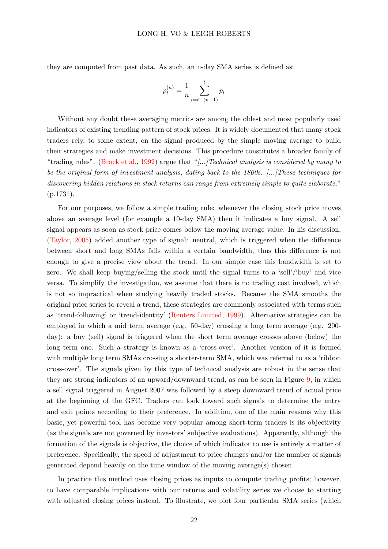they are computed from past data. As such, an n-day SMA series is defined as:

$$
p_t^{(n)} = \frac{1}{n} \sum_{i=t-(n-1)}^{t} p_i
$$

Without any doubt these averaging metrics are among the oldest and most popularly used indicators of existing trending pattern of stock prices. It is widely documented that many stock traders rely, to some extent, on the signal produced by the simple moving average to build their strategies and make investment decisions. This procedure constitutes a broader family of "trading rules". [\(Brock et al.,](#page-30-15) [1992\)](#page-30-15) argue that "[...]Technical analysis is considered by many to be the original form of investment analysis, dating back to the 1800s. [...]These techniques for discovering hidden relations in stock returns can range from extremely simple to quite elaborate." (p.1731).

For our purposes, we follow a simple trading rule: whenever the closing stock price moves above an average level (for example a 10-day SMA) then it indicates a buy signal. A sell signal appears as soon as stock price comes below the moving average value. In his discussion, [\(Taylor,](#page-32-4) [2005\)](#page-32-4) added another type of signal: neutral, which is triggered when the difference between short and long SMAs falls within a certain bandwidth, thus this difference is not enough to give a precise view about the trend. In our simple case this bandwidth is set to zero. We shall keep buying/selling the stock until the signal turns to a 'sell'/'buy' and vice versa. To simplify the investigation, we assume that there is no trading cost involved, which is not so impractical when studying heavily traded stocks. Because the SMA smooths the original price series to reveal a trend, these strategies are commonly associated with terms such as 'trend-following' or 'trend-identity' [\(Reuters Limited,](#page-32-15) [1999\)](#page-32-15). Alternative strategies can be employed in which a mid term average (e.g. 50-day) crossing a long term average (e.g. 200 day): a buy (sell) signal is triggered when the short term average crosses above (below) the long term one. Such a strategy is known as a 'cross-over'. Another version of it is formed with multiple long term SMAs crossing a shorter-term SMA, which was referred to as a 'ribbon cross-over'. The signals given by this type of technical analysis are robust in the sense that they are strong indicators of an upward/downward trend, as can be seen in Figure [9,](#page-24-0) in which a sell signal triggered in August 2007 was followed by a steep downward trend of actual price at the beginning of the GFC. Traders can look toward such signals to determine the entry and exit points according to their preference. In addition, one of the main reasons why this basic, yet powerful tool has become very popular among short-term traders is its objectivity (as the signals are not governed by investors' subjective evaluations). Apparently, although the formation of the signals is objective, the choice of which indicator to use is entirely a matter of preference. Specifically, the speed of adjustment to price changes and/or the number of signals generated depend heavily on the time window of the moving average(s) chosen.

In practice this method uses closing prices as inputs to compute trading profits; however, to have comparable implications with our returns and volatility series we choose to starting with adjusted closing prices instead. To illustrate, we plot four particular SMA series (which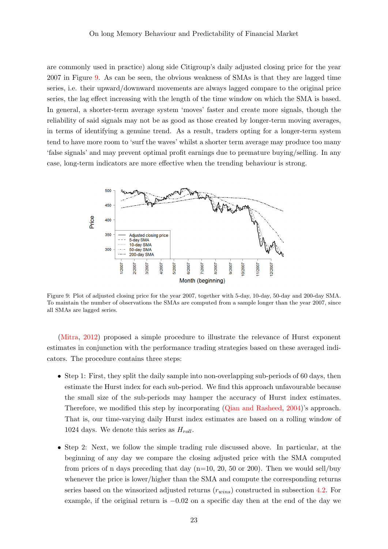are commonly used in practice) along side Citigroup's daily adjusted closing price for the year 2007 in Figure [9.](#page-24-0) As can be seen, the obvious weakness of SMAs is that they are lagged time series, i.e. their upward/downward movements are always lagged compare to the original price series, the lag effect increasing with the length of the time window on which the SMA is based. In general, a shorter-term average system 'moves' faster and create more signals, though the reliability of said signals may not be as good as those created by longer-term moving averages, in terms of identifying a genuine trend. As a result, traders opting for a longer-term system tend to have more room to 'surf the waves' whilst a shorter term average may produce too many 'false signals' and may prevent optimal profit earnings due to premature buying/selling. In any case, long-term indicators are more effective when the trending behaviour is strong.

<span id="page-24-0"></span>

Figure 9: Plot of adjusted closing price for the year 2007, together with 5-day, 10-day, 50-day and 200-day SMA. To maintain the number of observations the SMAs are computed from a sample longer than the year 2007, since all SMAs are lagged series.

[\(Mitra,](#page-32-2) [2012\)](#page-32-2) proposed a simple procedure to illustrate the relevance of Hurst exponent estimates in conjunction with the performance trading strategies based on these averaged indicators. The procedure contains three steps:

- Step 1: First, they split the daily sample into non-overlapping sub-periods of 60 days, then estimate the Hurst index for each sub-period. We find this approach unfavourable because the small size of the sub-periods may hamper the accuracy of Hurst index estimates. Therefore, we modified this step by incorporating [\(Qian and Rasheed,](#page-32-11) [2004\)](#page-32-11)'s approach. That is, our time-varying daily Hurst index estimates are based on a rolling window of 1024 days. We denote this series as  $H_{roll}$ .
- Step 2: Next, we follow the simple trading rule discussed above. In particular, at the beginning of any day we compare the closing adjusted price with the SMA computed from prices of n days preceding that day  $(n=10, 20, 50 \text{ or } 200)$ . Then we would sell/buy whenever the price is lower/higher than the SMA and compute the corresponding returns series based on the winsorized adjusted returns  $(r_{wins})$  constructed in subsection [4.2.](#page-16-1) For example, if the original return is  $-0.02$  on a specific day then at the end of the day we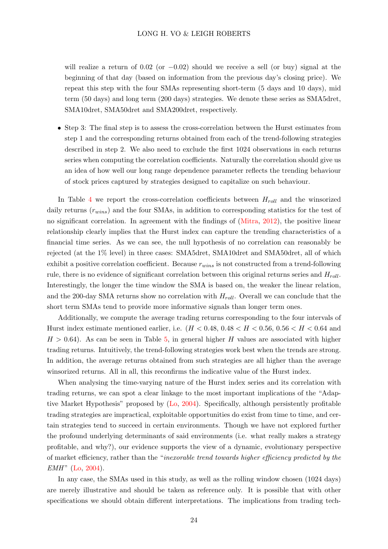will realize a return of 0.02 (or  $-0.02$ ) should we receive a sell (or buy) signal at the beginning of that day (based on information from the previous day's closing price). We repeat this step with the four SMAs representing short-term (5 days and 10 days), mid term (50 days) and long term (200 days) strategies. We denote these series as SMA5dret, SMA10dret, SMA50dret and SMA200dret, respectively.

• Step 3: The final step is to assess the cross-correlation between the Hurst estimates from step 1 and the corresponding returns obtained from each of the trend-following strategies described in step 2. We also need to exclude the first 1024 observations in each returns series when computing the correlation coefficients. Naturally the correlation should give us an idea of how well our long range dependence parameter reflects the trending behaviour of stock prices captured by strategies designed to capitalize on such behaviour.

In Table [4](#page-26-0) we report the cross-correlation coefficients between  $H_{roll}$  and the winsorized daily returns  $(r_{wins})$  and the four SMAs, in addition to corresponding statistics for the test of no significant correlation. In agreement with the findings of [\(Mitra,](#page-32-2) [2012\)](#page-32-2), the positive linear relationship clearly implies that the Hurst index can capture the trending characteristics of a financial time series. As we can see, the null hypothesis of no correlation can reasonably be rejected (at the 1% level) in three cases: SMA5dret, SMA10dret and SMA50dret, all of which exhibit a positive correlation coefficient. Because  $r_{wins}$  is not constructed from a trend-following rule, there is no evidence of significant correlation between this original returns series and  $H_{roll}$ . Interestingly, the longer the time window the SMA is based on, the weaker the linear relation, and the 200-day SMA returns show no correlation with  $H_{roll}$ . Overall we can conclude that the short term SMAs tend to provide more informative signals than longer term ones.

Additionally, we compute the average trading returns corresponding to the four intervals of Hurst index estimate mentioned earlier, i.e.  $(H < 0.48, 0.48 < H < 0.56, 0.56 < H < 0.64$  and  $H > 0.64$ ). As can be seen in Table [5,](#page-26-1) in general higher H values are associated with higher trading returns. Intuitively, the trend-following strategies work best when the trends are strong. In addition, the average returns obtained from such strategies are all higher than the average winsorized returns. All in all, this reconfirms the indicative value of the Hurst index.

When analysing the time-varying nature of the Hurst index series and its correlation with trading returns, we can spot a clear linkage to the most important implications of the "Adaptive Market Hypothesis" proposed by [\(Lo,](#page-31-0) [2004\)](#page-31-0). Specifically, although persistently profitable trading strategies are impractical, exploitable opportunities do exist from time to time, and certain strategies tend to succeed in certain environments. Though we have not explored further the profound underlying determinants of said environments (i.e. what really makes a strategy profitable, and why?), our evidence supports the view of a dynamic, evolutionary perspective of market efficiency, rather than the "inexorable trend towards higher efficiency predicted by the  $EMH"$  [\(Lo,](#page-31-0) [2004\)](#page-31-0).

In any case, the SMAs used in this study, as well as the rolling window chosen (1024 days) are merely illustrative and should be taken as reference only. It is possible that with other specifications we should obtain different interpretations. The implications from trading tech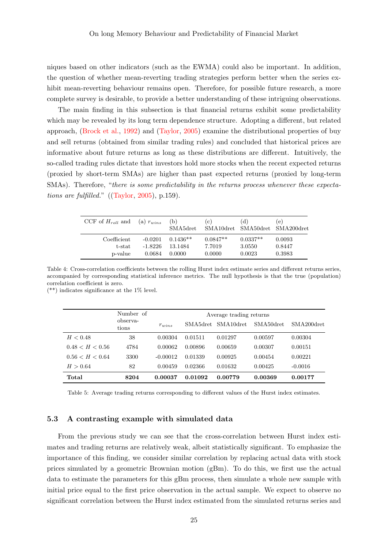niques based on other indicators (such as the EWMA) could also be important. In addition, the question of whether mean-reverting trading strategies perform better when the series exhibit mean-reverting behaviour remains open. Therefore, for possible future research, a more complete survey is desirable, to provide a better understanding of these intriguing observations.

The main finding in this subsection is that financial returns exhibit some predictability which may be revealed by its long term dependence structure. Adopting a different, but related approach, [\(Brock et al.,](#page-30-15) [1992\)](#page-30-15) and [\(Taylor,](#page-32-4) [2005\)](#page-32-4) examine the distributional properties of buy and sell returns (obtained from similar trading rules) and concluded that historical prices are informative about future returns as long as these distributions are different. Intuitively, the so-called trading rules dictate that investors hold more stocks when the recent expected returns (proxied by short-term SMAs) are higher than past expected returns (proxied by long-term SMAs). Therefore, "there is some predictability in the returns process whenever these expectations are fulfilled."  $((Taylor, 2005), p.159)$  $((Taylor, 2005), p.159)$  $((Taylor, 2005), p.159)$  $((Taylor, 2005), p.159)$  $((Taylor, 2005), p.159)$ .

<span id="page-26-0"></span>

| CCF of $H_{roll}$ and | $(a)$ $r_{wins}$ | (b<br>SMA5dret | (c)        | (d)        | (e)<br>SMA10dret SMA50dret SMA200dret |
|-----------------------|------------------|----------------|------------|------------|---------------------------------------|
| Coefficient           | $-0.0201$        | $0.1436**$     | $0.0847**$ | $0.0337**$ | 0.0093                                |
| $t$ -stat             | $-1.8226$        | 13.1484        | 7.7019     | 3.0550     | 0.8447                                |
| p-value               | 0.0684           | 0.0000         | 0.0000     | 0.0023     | 0.3983                                |

Table 4: Cross-correlation coefficients between the rolling Hurst index estimate series and different returns series, accompanied by corresponding statistical inference metrics. The null hypothesis is that the true (population) correlation coefficient is zero.

 $(**)$  indicates significance at the 1\% level.

<span id="page-26-1"></span>

|                 | Number of         | Average trading returns |          |           |           |                         |
|-----------------|-------------------|-------------------------|----------|-----------|-----------|-------------------------|
|                 | observa-<br>tions | $r_{wins}$              | SMA5dret | SMA10dret | SMA50dret | SMA <sub>200</sub> dret |
| H < 0.48        | 38                | 0.00304                 | 0.01511  | 0.01297   | 0.00597   | 0.00304                 |
| 0.48 < H < 0.56 | 4784              | 0.00062                 | 0.00896  | 0.00659   | 0.00307   | 0.00151                 |
| 0.56 < H < 0.64 | 3300              | $-0.00012$              | 0.01339  | 0.00925   | 0.00454   | 0.00221                 |
| H > 0.64        | 82                | 0.00459                 | 0.02366  | 0.01632   | 0.00425   | $-0.0016$               |
| Total           | 8204              | 0.00037                 | 0.01092  | 0.00779   | 0.00369   | 0.00177                 |

Table 5: Average trading returns corresponding to different values of the Hurst index estimates.

#### 5.3 A contrasting example with simulated data

From the previous study we can see that the cross-correlation between Hurst index estimates and trading returns are relatively weak, albeit statistically significant. To emphasize the importance of this finding, we consider similar correlation by replacing actual data with stock prices simulated by a geometric Brownian motion (gBm). To do this, we first use the actual data to estimate the parameters for this gBm process, then simulate a whole new sample with initial price equal to the first price observation in the actual sample. We expect to observe no significant correlation between the Hurst index estimated from the simulated returns series and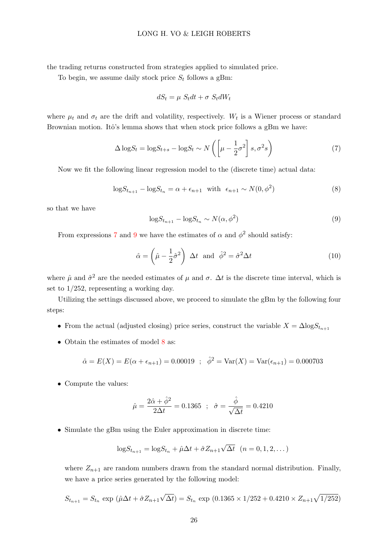the trading returns constructed from strategies applied to simulated price.

To begin, we assume daily stock price  $S_t$  follows a gBm:

<span id="page-27-2"></span><span id="page-27-0"></span>
$$
dS_t = \mu \ S_t dt + \sigma \ S_t dW_t
$$

where  $\mu_t$  and  $\sigma_t$  are the drift and volatility, respectively. W<sub>t</sub> is a Wiener process or standard Brownian motion. Itô's lemma shows that when stock price follows a gBm we have:

$$
\Delta \log S_t = \log S_{t+s} - \log S_t \sim N \left( \left[ \mu - \frac{1}{2} \sigma^2 \right] s, \sigma^2 s \right) \tag{7}
$$

Now we fit the following linear regression model to the (discrete time) actual data:

<span id="page-27-1"></span>
$$
\log S_{t_{n+1}} - \log S_{t_n} = \alpha + \epsilon_{n+1} \quad \text{with} \quad \epsilon_{n+1} \sim N(0, \phi^2)
$$
 (8)

so that we have

$$
\log S_{t_{n+1}} - \log S_{t_n} \sim N(\alpha, \phi^2)
$$
\n(9)

From expressions [7](#page-27-0) and [9](#page-27-1) we have the estimates of  $\alpha$  and  $\phi^2$  should satisfy:

$$
\hat{\alpha} = \left(\hat{\mu} - \frac{1}{2}\hat{\sigma}^2\right) \Delta t \text{ and } \hat{\phi}^2 = \hat{\sigma}^2 \Delta t \tag{10}
$$

where  $\hat{\mu}$  and  $\hat{\sigma}^2$  are the needed estimates of  $\mu$  and  $\sigma$ .  $\Delta t$  is the discrete time interval, which is set to 1/252, representing a working day.

Utilizing the settings discussed above, we proceed to simulate the gBm by the following four steps:

- From the actual (adjusted closing) price series, construct the variable  $X = \Delta \log S_{t_{n+1}}$
- Obtain the estimates of model [8](#page-27-2) as:

$$
\hat{\alpha} = E(X) = E(\alpha + \epsilon_{n+1}) = 0.00019 \; ; \; \hat{\phi}^2 = \text{Var}(X) = \text{Var}(\epsilon_{n+1}) = 0.000703
$$

• Compute the values:

$$
\hat{\mu} = \frac{2\hat{\alpha} + \hat{\phi}^2}{2\Delta t} = 0.1365 \; ; \; \hat{\sigma} = \frac{\hat{\phi}}{\sqrt{\Delta t}} = 0.4210
$$

• Simulate the gBm using the Euler approximation in discrete time:

$$
\log S_{t_{n+1}} = \log S_{t_n} + \hat{\mu}\Delta t + \hat{\sigma} Z_{n+1}\sqrt{\Delta t} \quad (n = 0, 1, 2, \dots)
$$

where  $Z_{n+1}$  are random numbers drawn from the standard normal distribution. Finally, we have a price series generated by the following model:

$$
S_{t_{n+1}} = S_{t_n} \exp \left( \hat{\mu} \Delta t + \hat{\sigma} Z_{n+1} \sqrt{\Delta t} \right) = S_{t_n} \exp \left( 0.1365 \times 1/252 + 0.4210 \times Z_{n+1} \sqrt{1/252} \right)
$$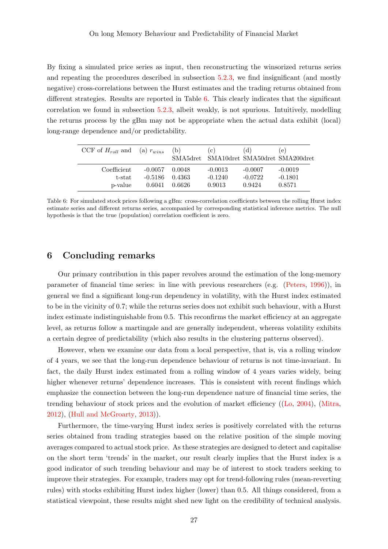By fixing a simulated price series as input, then reconstructing the winsorized returns series and repeating the procedures described in subsection [5.2.3,](#page-22-1) we find insignificant (and mostly negative) cross-correlations between the Hurst estimates and the trading returns obtained from different strategies. Results are reported in Table [6.](#page-28-1) This clearly indicates that the significant correlation we found in subsection [5.2.3,](#page-22-1) albeit weakly, is not spurious. Intuitively, modelling the returns process by the gBm may not be appropriate when the actual data exhibit (local) long-range dependence and/or predictability.

<span id="page-28-1"></span>

| CCF of $H_{roll}$ and (a) $r_{wins}$ |           | (b)     | $\left( \mathrm{c}\right)$<br>SMA5dret SMA10dret SMA50dret SMA200dret | (d)       | (e)       |
|--------------------------------------|-----------|---------|-----------------------------------------------------------------------|-----------|-----------|
| Coefficient                          | $-0.0057$ | 0.0048  | $-0.0013$                                                             | $-0.0007$ | $-0.0019$ |
| t-stat                               | $-0.5186$ | 0.4363  | $-0.1240$                                                             | $-0.0722$ | $-0.1801$ |
| p-value                              | 0.6041    | -0.6626 | 0.9013                                                                | 0.9424    | 0.8571    |

Table 6: For simulated stock prices following a gBm: cross-correlation coefficients between the rolling Hurst index estimate series and different returns series, accompanied by corresponding statistical inference metrics. The null hypothesis is that the true (population) correlation coefficient is zero.

## <span id="page-28-0"></span>6 Concluding remarks

Our primary contribution in this paper revolves around the estimation of the long-memory parameter of financial time series: in line with previous researchers (e.g. [\(Peters,](#page-32-1) [1996\)](#page-32-1)), in general we find a significant long-run dependency in volatility, with the Hurst index estimated to be in the vicinity of 0.7; while the returns series does not exhibit such behaviour, with a Hurst index estimate indistinguishable from 0.5. This reconfirms the market efficiency at an aggregate level, as returns follow a martingale and are generally independent, whereas volatility exhibits a certain degree of predictability (which also results in the clustering patterns observed).

However, when we examine our data from a local perspective, that is, via a rolling window of 4 years, we see that the long-run dependence behaviour of returns is not time-invariant. In fact, the daily Hurst index estimated from a rolling window of 4 years varies widely, being higher whenever returns' dependence increases. This is consistent with recent findings which emphasize the connection between the long-run dependence nature of financial time series, the trending behaviour of stock prices and the evolution of market efficiency ([\(Lo,](#page-31-0) [2004\)](#page-31-0), [\(Mitra,](#page-32-2) [2012\)](#page-32-2), [\(Hull and McGroarty,](#page-31-6) [2013\)](#page-31-6)).

Furthermore, the time-varying Hurst index series is positively correlated with the returns series obtained from trading strategies based on the relative position of the simple moving averages compared to actual stock price. As these strategies are designed to detect and capitalise on the short term 'trends' in the market, our result clearly implies that the Hurst index is a good indicator of such trending behaviour and may be of interest to stock traders seeking to improve their strategies. For example, traders may opt for trend-following rules (mean-reverting rules) with stocks exhibiting Hurst index higher (lower) than 0.5. All things considered, from a statistical viewpoint, these results might shed new light on the credibility of technical analysis.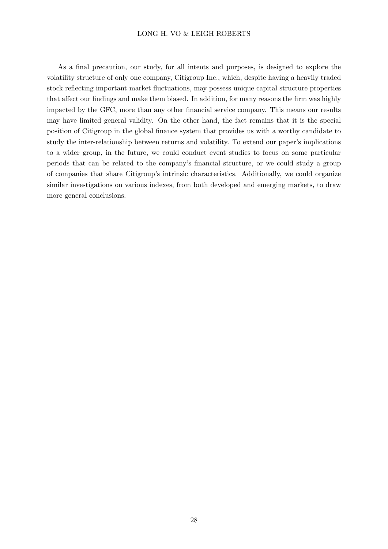As a final precaution, our study, for all intents and purposes, is designed to explore the volatility structure of only one company, Citigroup Inc., which, despite having a heavily traded stock reflecting important market fluctuations, may possess unique capital structure properties that affect our findings and make them biased. In addition, for many reasons the firm was highly impacted by the GFC, more than any other financial service company. This means our results may have limited general validity. On the other hand, the fact remains that it is the special position of Citigroup in the global finance system that provides us with a worthy candidate to study the inter-relationship between returns and volatility. To extend our paper's implications to a wider group, in the future, we could conduct event studies to focus on some particular periods that can be related to the company's financial structure, or we could study a group of companies that share Citigroup's intrinsic characteristics. Additionally, we could organize similar investigations on various indexes, from both developed and emerging markets, to draw more general conclusions.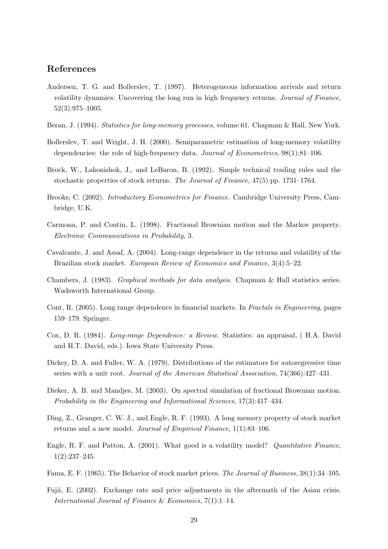## References

- <span id="page-30-4"></span>Andersen, T. G. and Bollerslev, T. (1997). Heterogeneous information arrivals and return volatility dynamics: Uncovering the long run in high frequency returns. Journal of Finance, 52(3):975–1005.
- <span id="page-30-7"></span>Beran, J. (1994). Statistics for long-memory processes, volume 61. Chapman & Hall, New York.
- <span id="page-30-9"></span>Bollerslev, T. and Wright, J. H. (2000). Semiparametric estimation of long-memory volatility dependencies: the role of high-frequency data. Journal of Econometrics, 98(1):81–106.
- <span id="page-30-15"></span>Brock, W., Lakonishok, J., and LeBaron, B. (1992). Simple technical trading rules and the stochastic properties of stock returns. The Journal of Finance, 47(5):pp. 1731–1764.
- <span id="page-30-12"></span>Brooks, C. (2002). Introductory Econometrics for Finance. Cambridge University Press, Cambridge, U.K.
- <span id="page-30-8"></span>Carmona, P. and Coutin, L. (1998). Fractional Brownian motion and the Markov property. Electronic Communications in Probability, 3.
- <span id="page-30-10"></span>Cavalcante, J. and Assaf, A. (2004). Long-range dependence in the returns and volatility of the Brazilian stock market. European Review of Economics and Finance, 3(4):5–22.
- <span id="page-30-11"></span>Chambers, J. (1983). Graphical methods for data analysis. Chapman & Hall statistics series. Wadsworth International Group.
- <span id="page-30-1"></span>Cont, R. (2005). Long range dependence in financial markets. In Fractals in Engineering, pages 159–179. Springer.
- <span id="page-30-6"></span>Cox, D. R. (1984). Long-range Dependence: a Review. Statistics: an appraisal, ( H.A. David and H.T. David, eds.). Iowa State University Press.
- <span id="page-30-13"></span>Dickey, D. A. and Fuller, W. A. (1979). Distributions of the estimators for autoregressive time series with a unit root. Journal of the American Statistical Association, 74(366):427–431.
- <span id="page-30-5"></span>Dieker, A. B. and Mandjes, M. (2003). On spectral simulation of fractional Brownian motion. Probability in the Engineering and Informational Sciences, 17(3):417–434.
- <span id="page-30-3"></span>Ding, Z., Granger, C. W. J., and Engle, R. F. (1993). A long memory property of stock market returns and a new model. Journal of Empirical Finance, 1(1):83–106.
- <span id="page-30-2"></span>Engle, R. F. and Patton, A. (2001). What good is a volatility model? Quantitative Finance, 1(2):237–245.
- <span id="page-30-0"></span>Fama, E. F. (1965). The Behavior of stock market prices. The Journal of Business, 38(1):34–105.
- <span id="page-30-14"></span>Fujii, E. (2002). Exchange rate and price adjustments in the aftermath of the Asian crisis. International Journal of Finance & Economics, 7(1):1–14.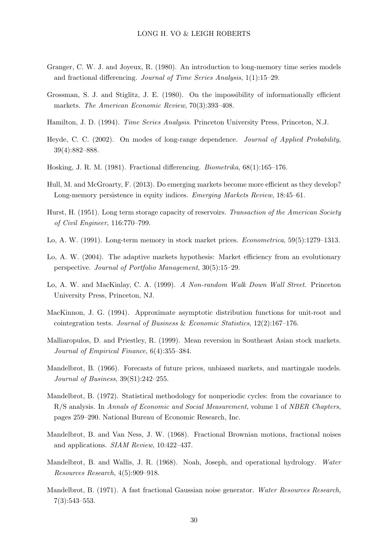- <span id="page-31-10"></span>Granger, C. W. J. and Joyeux, R. (1980). An introduction to long-memory time series models and fractional differencing. Journal of Time Series Analysis, 1(1):15–29.
- <span id="page-31-7"></span>Grossman, S. J. and Stiglitz, J. E. (1980). On the impossibility of informationally efficient markets. The American Economic Review, 70(3):393–408.
- <span id="page-31-14"></span>Hamilton, J. D. (1994). Time Series Analysis. Princeton University Press, Princeton, N.J.
- <span id="page-31-1"></span>Heyde, C. C. (2002). On modes of long-range dependence. Journal of Applied Probability, 39(4):882–888.
- <span id="page-31-11"></span>Hosking, J. R. M. (1981). Fractional differencing. Biometrika, 68(1):165–176.
- <span id="page-31-6"></span>Hull, M. and McGroarty, F. (2013). Do emerging markets become more efficient as they develop? Long-memory persistence in equity indices. Emerging Markets Review, 18:45–61.
- <span id="page-31-8"></span>Hurst, H. (1951). Long term storage capacity of reservoirs. Transaction of the American Society of Civil Engineer, 116:770–799.
- <span id="page-31-3"></span>Lo, A. W. (1991). Long-term memory in stock market prices. Econometrica, 59(5):1279–1313.
- <span id="page-31-0"></span>Lo, A. W. (2004). The adaptive markets hypothesis: Market efficiency from an evolutionary perspective. Journal of Portfolio Management, 30(5):15–29.
- <span id="page-31-5"></span>Lo, A. W. and MacKinlay, C. A. (1999). A Non-random Walk Down Wall Street. Princeton University Press, Princeton, NJ.
- <span id="page-31-15"></span>MacKinnon, J. G. (1994). Approximate asymptotic distribution functions for unit-root and cointegration tests. Journal of Business & Economic Statistics, 12(2):167–176.
- <span id="page-31-16"></span>Malliaropulos, D. and Priestley, R. (1999). Mean reversion in Southeast Asian stock markets. Journal of Empirical Finance, 6(4):355–384.
- <span id="page-31-12"></span>Mandelbrot, B. (1966). Forecasts of future prices, unbiased markets, and martingale models. Journal of Business, 39(S1):242–255.
- <span id="page-31-13"></span>Mandelbrot, B. (1972). Statistical methodology for nonperiodic cycles: from the covariance to R/S analysis. In Annals of Economic and Social Measurement, volume 1 of NBER Chapters, pages 259–290. National Bureau of Economic Research, Inc.
- <span id="page-31-9"></span>Mandelbrot, B. and Van Ness, J. W. (1968). Fractional Brownian motions, fractional noises and applications. SIAM Review, 10:422–437.
- <span id="page-31-4"></span>Mandelbrot, B. and Wallis, J. R. (1968). Noah, Joseph, and operational hydrology. Water Resources Research, 4(5):909–918.
- <span id="page-31-2"></span>Mandelbrot, B. (1971). A fast fractional Gaussian noise generator. Water Resources Research, 7(3):543–553.